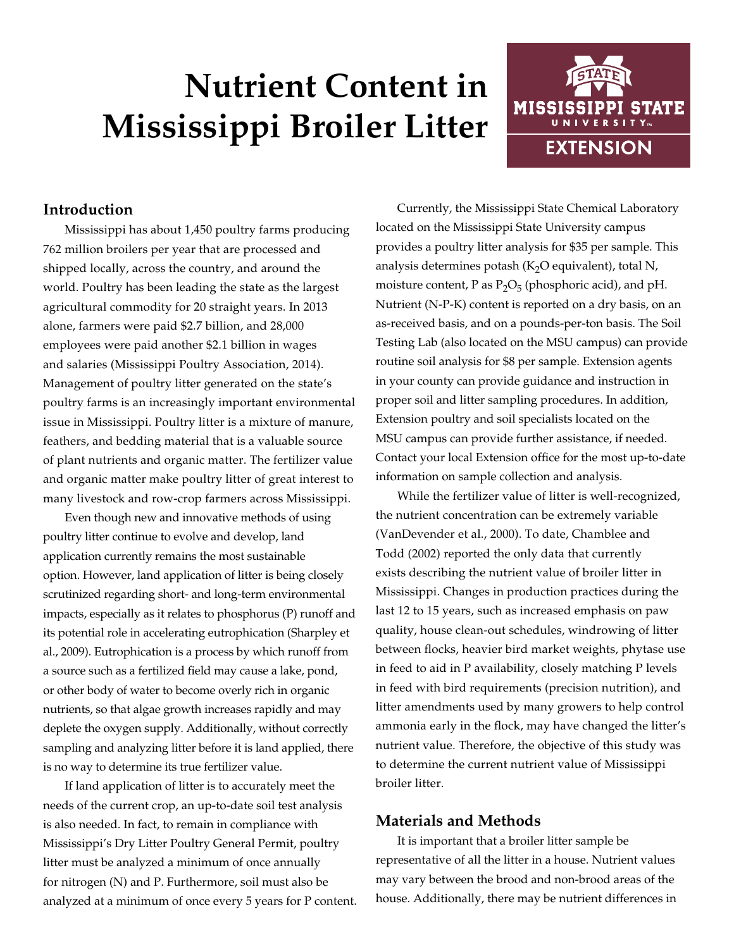# **Nutrient Content in Mississippi Broiler Litter**



# **Introduction**

Mississippi has about 1,450 poultry farms producing 762 million broilers per year that are processed and shipped locally, across the country, and around the world. Poultry has been leading the state as the largest agricultural commodity for 20 straight years. In 2013 alone, farmers were paid \$2.7 billion, and 28,000 employees were paid another \$2.1 billion in wages and salaries (Mississippi Poultry Association, 2014). Management of poultry litter generated on the state's poultry farms is an increasingly important environmental issue in Mississippi. Poultry litter is a mixture of manure, feathers, and bedding material that is a valuable source of plant nutrients and organic matter. The fertilizer value and organic matter make poultry litter of great interest to many livestock and row-crop farmers across Mississippi.

Even though new and innovative methods of using poultry litter continue to evolve and develop, land application currently remains the most sustainable option. However, land application of litter is being closely scrutinized regarding short- and long-term environmental impacts, especially as it relates to phosphorus (P) runoff and its potential role in accelerating eutrophication (Sharpley et al., 2009). Eutrophication is a process by which runoff from a source such as a fertilized field may cause a lake, pond, or other body of water to become overly rich in organic nutrients, so that algae growth increases rapidly and may deplete the oxygen supply. Additionally, without correctly sampling and analyzing litter before it is land applied, there is no way to determine its true fertilizer value.

If land application of litter is to accurately meet the needs of the current crop, an up-to-date soil test analysis is also needed. In fact, to remain in compliance with Mississippi's Dry Litter Poultry General Permit, poultry litter must be analyzed a minimum of once annually for nitrogen (N) and P. Furthermore, soil must also be analyzed at a minimum of once every 5 years for P content.

Currently, the Mississippi State Chemical Laboratory located on the Mississippi State University campus provides a poultry litter analysis for \$35 per sample. This analysis determines potash ( $K<sub>2</sub>O$  equivalent), total N, moisture content, P as  $P_2O_5$  (phosphoric acid), and pH. Nutrient (N-P-K) content is reported on a dry basis, on an as-received basis, and on a pounds-per-ton basis. The Soil Testing Lab (also located on the MSU campus) can provide routine soil analysis for \$8 per sample. Extension agents in your county can provide guidance and instruction in proper soil and litter sampling procedures. In addition, Extension poultry and soil specialists located on the MSU campus can provide further assistance, if needed. Contact your local Extension office for the most up-to-date information on sample collection and analysis.

While the fertilizer value of litter is well-recognized, the nutrient concentration can be extremely variable (VanDevender et al., 2000). To date, Chamblee and Todd (2002) reported the only data that currently exists describing the nutrient value of broiler litter in Mississippi. Changes in production practices during the last 12 to 15 years, such as increased emphasis on paw quality, house clean-out schedules, windrowing of litter between flocks, heavier bird market weights, phytase use in feed to aid in P availability, closely matching P levels in feed with bird requirements (precision nutrition), and litter amendments used by many growers to help control ammonia early in the flock, may have changed the litter's nutrient value. Therefore, the objective of this study was to determine the current nutrient value of Mississippi broiler litter.

### **Materials and Methods**

It is important that a broiler litter sample be representative of all the litter in a house. Nutrient values may vary between the brood and non-brood areas of the house. Additionally, there may be nutrient differences in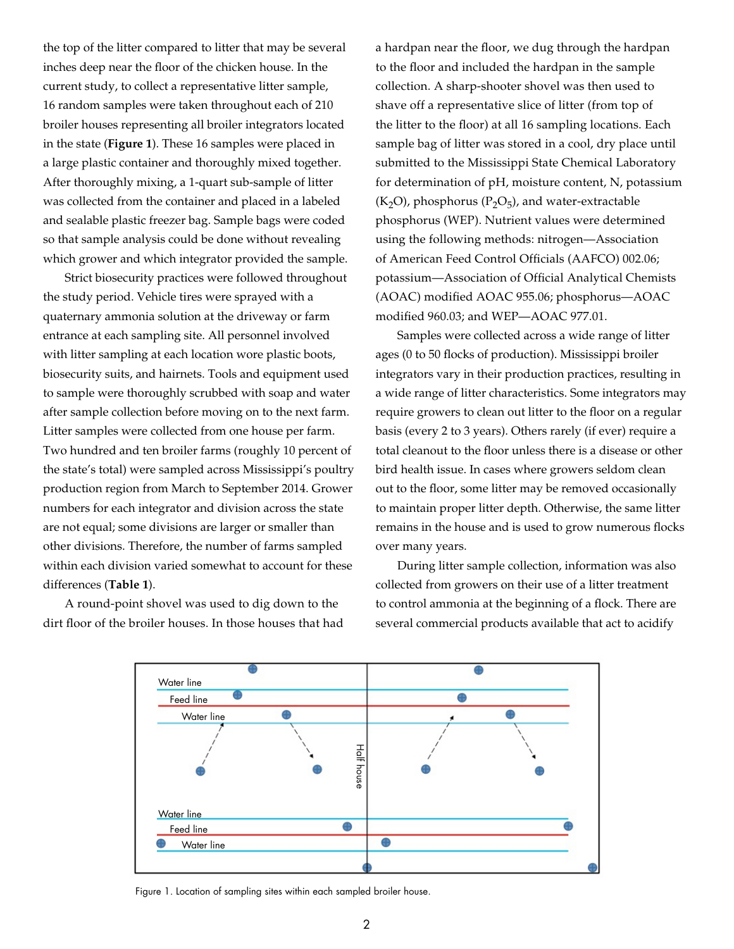the top of the litter compared to litter that may be several inches deep near the floor of the chicken house. In the current study, to collect a representative litter sample, 16 random samples were taken throughout each of 210 broiler houses representing all broiler integrators located in the state (**Figure 1**). These 16 samples were placed in a large plastic container and thoroughly mixed together. After thoroughly mixing, a 1-quart sub-sample of litter was collected from the container and placed in a labeled and sealable plastic freezer bag. Sample bags were coded so that sample analysis could be done without revealing which grower and which integrator provided the sample.

Strict biosecurity practices were followed throughout the study period. Vehicle tires were sprayed with a quaternary ammonia solution at the driveway or farm entrance at each sampling site. All personnel involved with litter sampling at each location wore plastic boots, biosecurity suits, and hairnets. Tools and equipment used to sample were thoroughly scrubbed with soap and water after sample collection before moving on to the next farm. Litter samples were collected from one house per farm. Two hundred and ten broiler farms (roughly 10 percent of the state's total) were sampled across Mississippi's poultry production region from March to September 2014. Grower numbers for each integrator and division across the state are not equal; some divisions are larger or smaller than other divisions. Therefore, the number of farms sampled within each division varied somewhat to account for these differences (**Table 1**).

A round-point shovel was used to dig down to the dirt floor of the broiler houses. In those houses that had a hardpan near the floor, we dug through the hardpan to the floor and included the hardpan in the sample collection. A sharp-shooter shovel was then used to shave off a representative slice of litter (from top of the litter to the floor) at all 16 sampling locations. Each sample bag of litter was stored in a cool, dry place until submitted to the Mississippi State Chemical Laboratory for determination of pH, moisture content, N, potassium  $(K<sub>2</sub>O)$ , phosphorus ( $P<sub>2</sub>O<sub>5</sub>$ ), and water-extractable phosphorus (WEP). Nutrient values were determined using the following methods: nitrogen—Association of American Feed Control Officials (AAFCO) 002.06; potassium—Association of Official Analytical Chemists (AOAC) modified AOAC 955.06; phosphorus—AOAC modified 960.03; and WEP—AOAC 977.01.

Samples were collected across a wide range of litter ages (0 to 50 flocks of production). Mississippi broiler integrators vary in their production practices, resulting in a wide range of litter characteristics. Some integrators may require growers to clean out litter to the floor on a regular basis (every 2 to 3 years). Others rarely (if ever) require a total cleanout to the floor unless there is a disease or other bird health issue. In cases where growers seldom clean out to the floor, some litter may be removed occasionally to maintain proper litter depth. Otherwise, the same litter remains in the house and is used to grow numerous flocks over many years.

During litter sample collection, information was also collected from growers on their use of a litter treatment to control ammonia at the beginning of a flock. There are several commercial products available that act to acidify



Figure 1. Location of sampling sites within each sampled broiler house.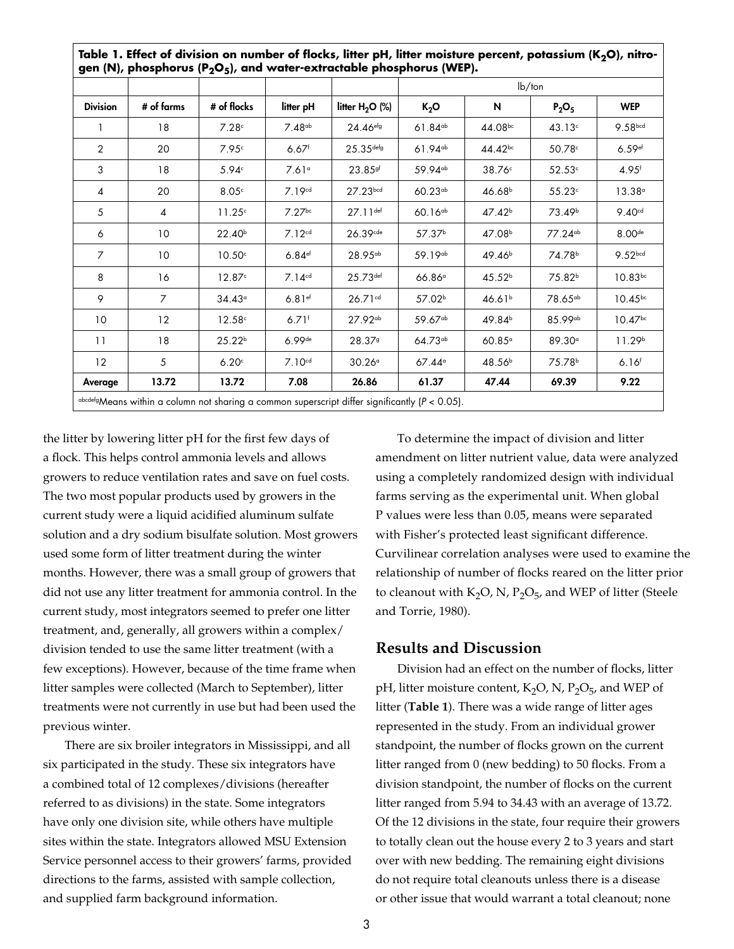|                 |                |                    |                      |                        | $lb$ /ton             |                    |                     |                       |
|-----------------|----------------|--------------------|----------------------|------------------------|-----------------------|--------------------|---------------------|-----------------------|
| <b>Division</b> | # of farms     | # of flocks        | litter pH            | litter $H_2O$ (%)      | $K_2O$                | N                  | $P_2O_5$            | <b>WEP</b>            |
|                 | 18             | 7.28c              | 7.48 <sup>ab</sup>   | $24.46$ <sup>efg</sup> | $61.84^{ab}$          | $44.08^{bc}$       | 43.13c              | 9.58bcd               |
| 2               | 20             | 7.95c              | $6.67$ <sup>f</sup>  | $25.35$ defg           | $61.94$ <sup>ab</sup> | $44.42^{bc}$       | 50.78c              | $6.59$ <sup>ef</sup>  |
| 3               | 18             | 5.94 <sup>c</sup>  | 7.61°                | $23.85$ gf             | 59.94 <sup>ab</sup>   | 38.76°             | 52.53c              | $4.95$ <sup>f</sup>   |
| 4               | 20             | 8.05c              | 7.19 <sup>cd</sup>   | 27.23 <sub>bcd</sub>   | $60.23^{ab}$          | 46.68 <sup>b</sup> | 55.23c              | 13.38°                |
| 5               | 4              | 11.25 <sup>c</sup> | $7.27$ <sub>bc</sub> | $27.11$ def            | $60.16^{ab}$          | 47.42 <sup>b</sup> | 73.49 <sup>b</sup>  | 9.40 <sup>cd</sup>    |
| 6               | 10             | 22.40 <sup>b</sup> | 7.12 <sup>cd</sup>   | 26.39cde               | 57.37 <sup>b</sup>    | 47.08 <sup>b</sup> | 77.24 <sup>ab</sup> | 8.00 <sup>de</sup>    |
| $\overline{7}$  | 10             | 10.50 <sup>c</sup> | $6.84$ <sup>ef</sup> | $28.95^{ab}$           | 59.19 <sup>ab</sup>   | 49.46 <sup>b</sup> | 74.78 <sup>b</sup>  | 9.52 <sub>bcd</sub>   |
| 8               | 16             | 12.87c             | 7.14 <sup>cd</sup>   | $25.73$ def            | 66.86°                | 45.52 <sup>b</sup> | 75.82 <sup>b</sup>  | $10.83^{bc}$          |
| 9               | $\overline{7}$ | 34.43°             | $6.81$ ef            | 26.71cd                | 57.02 <sup>b</sup>    | 46.61 <sup>b</sup> | 78.65 <sup>ab</sup> | $10.45^{bc}$          |
| 10              | 12             | 12.58c             | $6.71$ <sup>f</sup>  | $27.92^{ab}$           | 59.67 <sup>ab</sup>   | 49.84 <sup>b</sup> | 85.99 <sup>ab</sup> | $10.47$ <sup>bc</sup> |
| 11              | 18             | 25.22 <sup>b</sup> | $6.99$ de            | 28.379                 | $64.73^{ab}$          | $60.85^\circ$      | 89.30 <sup>°</sup>  | 11.29 <sup>b</sup>    |
| 12              | 5              | 6.20c              | 7.10 <sup>cd</sup>   | 30.26 <sup>a</sup>     | $67.44^{\circ}$       | 48.56 <sup>b</sup> | 75.78 <sup>b</sup>  | 6.16 <sup>f</sup>     |
| Average         | 13.72          | 13.72              | 7.08                 | 26.86                  | 61.37                 | 47.44              | 69.39               | 9.22                  |

the litter by lowering litter pH for the first few days of a flock. This helps control ammonia levels and allows growers to reduce ventilation rates and save on fuel costs. The two most popular products used by growers in the current study were a liquid acidified aluminum sulfate solution and a dry sodium bisulfate solution. Most growers used some form of litter treatment during the winter months. However, there was a small group of growers that did not use any litter treatment for ammonia control. In the current study, most integrators seemed to prefer one litter treatment, and, generally, all growers within a complex/ division tended to use the same litter treatment (with a few exceptions). However, because of the time frame when litter samples were collected (March to September), litter treatments were not currently in use but had been used the previous winter.

There are six broiler integrators in Mississippi, and all six participated in the study. These six integrators have a combined total of 12 complexes/divisions (hereafter referred to as divisions) in the state. Some integrators have only one division site, while others have multiple sites within the state. Integrators allowed MSU Extension Service personnel access to their growers' farms, provided directions to the farms, assisted with sample collection, and supplied farm background information.

To determine the impact of division and litter amendment on litter nutrient value, data were analyzed using a completely randomized design with individual farms serving as the experimental unit. When global P values were less than 0.05, means were separated with Fisher's protected least significant difference. Curvilinear correlation analyses were used to examine the relationship of number of flocks reared on the litter prior to cleanout with  $K_2O$ , N,  $P_2O_5$ , and WEP of litter (Steele and Torrie, 1980).

### **Results and Discussion**

Division had an effect on the number of flocks, litter pH, litter moisture content,  $K_2O$ , N,  $P_2O_{5}$ , and WEP of litter (**Table 1**). There was a wide range of litter ages represented in the study. From an individual grower standpoint, the number of flocks grown on the current litter ranged from 0 (new bedding) to 50 flocks. From a division standpoint, the number of flocks on the current litter ranged from 5.94 to 34.43 with an average of 13.72. Of the 12 divisions in the state, four require their growers to totally clean out the house every 2 to 3 years and start over with new bedding. The remaining eight divisions do not require total cleanouts unless there is a disease or other issue that would warrant a total cleanout; none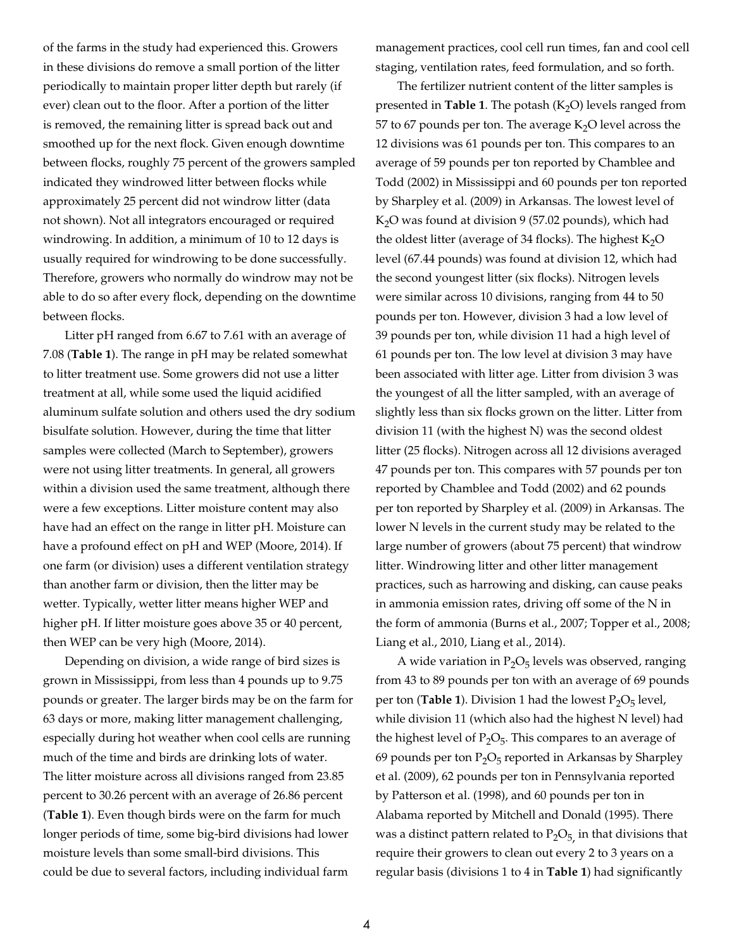of the farms in the study had experienced this. Growers in these divisions do remove a small portion of the litter periodically to maintain proper litter depth but rarely (if ever) clean out to the floor. After a portion of the litter is removed, the remaining litter is spread back out and smoothed up for the next flock. Given enough downtime between flocks, roughly 75 percent of the growers sampled indicated they windrowed litter between flocks while approximately 25 percent did not windrow litter (data not shown). Not all integrators encouraged or required windrowing. In addition, a minimum of 10 to 12 days is usually required for windrowing to be done successfully. Therefore, growers who normally do windrow may not be able to do so after every flock, depending on the downtime between flocks.

Litter pH ranged from 6.67 to 7.61 with an average of 7.08 (**Table 1**). The range in pH may be related somewhat to litter treatment use. Some growers did not use a litter treatment at all, while some used the liquid acidified aluminum sulfate solution and others used the dry sodium bisulfate solution. However, during the time that litter samples were collected (March to September), growers were not using litter treatments. In general, all growers within a division used the same treatment, although there were a few exceptions. Litter moisture content may also have had an effect on the range in litter pH. Moisture can have a profound effect on pH and WEP (Moore, 2014). If one farm (or division) uses a different ventilation strategy than another farm or division, then the litter may be wetter. Typically, wetter litter means higher WEP and higher pH. If litter moisture goes above 35 or 40 percent, then WEP can be very high (Moore, 2014).

Depending on division, a wide range of bird sizes is grown in Mississippi, from less than 4 pounds up to 9.75 pounds or greater. The larger birds may be on the farm for 63 days or more, making litter management challenging, especially during hot weather when cool cells are running much of the time and birds are drinking lots of water. The litter moisture across all divisions ranged from 23.85 percent to 30.26 percent with an average of 26.86 percent (**Table 1**). Even though birds were on the farm for much longer periods of time, some big-bird divisions had lower moisture levels than some small-bird divisions. This could be due to several factors, including individual farm

management practices, cool cell run times, fan and cool cell staging, ventilation rates, feed formulation, and so forth.

The fertilizer nutrient content of the litter samples is presented in **Table 1**. The potash  $(K_2O)$  levels ranged from 57 to 67 pounds per ton. The average  $K_2O$  level across the 12 divisions was 61 pounds per ton. This compares to an average of 59 pounds per ton reported by Chamblee and Todd (2002) in Mississippi and 60 pounds per ton reported by Sharpley et al. (2009) in Arkansas. The lowest level of  $K<sub>2</sub>O$  was found at division 9 (57.02 pounds), which had the oldest litter (average of 34 flocks). The highest  $K<sub>2</sub>O$ level (67.44 pounds) was found at division 12, which had the second youngest litter (six flocks). Nitrogen levels were similar across 10 divisions, ranging from 44 to 50 pounds per ton. However, division 3 had a low level of 39 pounds per ton, while division 11 had a high level of 61 pounds per ton. The low level at division 3 may have been associated with litter age. Litter from division 3 was the youngest of all the litter sampled, with an average of slightly less than six flocks grown on the litter. Litter from division 11 (with the highest N) was the second oldest litter (25 flocks). Nitrogen across all 12 divisions averaged 47 pounds per ton. This compares with 57 pounds per ton reported by Chamblee and Todd (2002) and 62 pounds per ton reported by Sharpley et al. (2009) in Arkansas. The lower N levels in the current study may be related to the large number of growers (about 75 percent) that windrow litter. Windrowing litter and other litter management practices, such as harrowing and disking, can cause peaks in ammonia emission rates, driving off some of the N in the form of ammonia (Burns et al., 2007; Topper et al., 2008; Liang et al., 2010, Liang et al., 2014).

A wide variation in  $P_2O_5$  levels was observed, ranging from 43 to 89 pounds per ton with an average of 69 pounds per ton (**Table 1**). Division 1 had the lowest  $P_2O_5$  level, while division 11 (which also had the highest N level) had the highest level of  $P_2O_5$ . This compares to an average of 69 pounds per ton  $P_2O_5$  reported in Arkansas by Sharpley et al. (2009), 62 pounds per ton in Pennsylvania reported by Patterson et al. (1998), and 60 pounds per ton in Alabama reported by Mitchell and Donald (1995). There was a distinct pattern related to  $\text{P}_2\text{O}_5$ , in that divisions that require their growers to clean out every 2 to 3 years on a regular basis (divisions 1 to 4 in **Table 1**) had significantly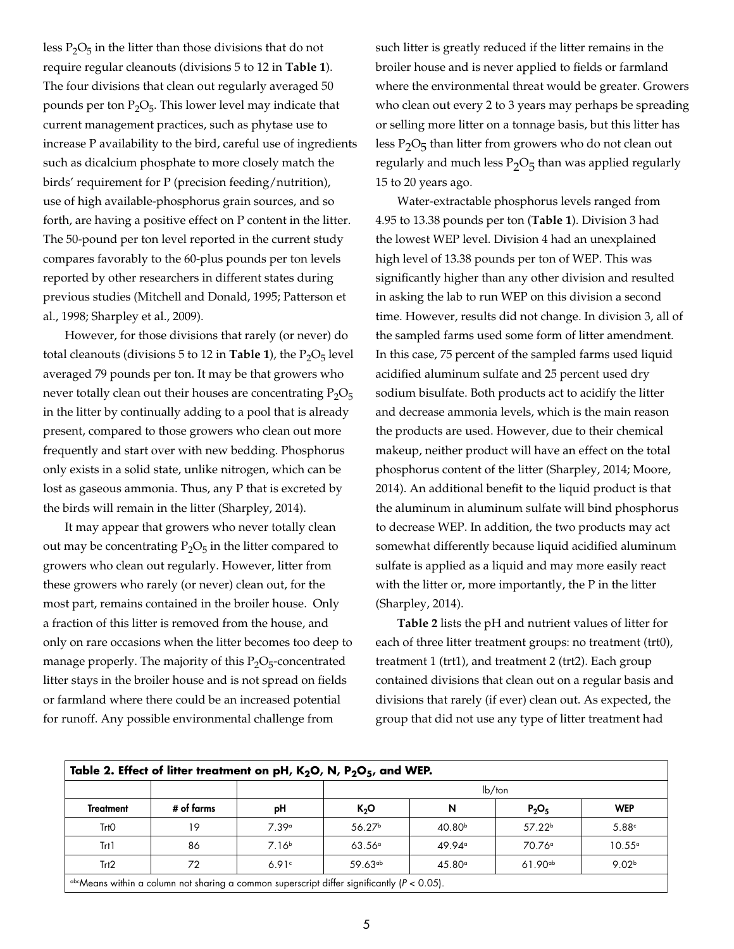less  $P_2O_5$  in the litter than those divisions that do not require regular cleanouts (divisions 5 to 12 in **Table 1**). The four divisions that clean out regularly averaged 50 pounds per ton  $P_2O_5$ . This lower level may indicate that current management practices, such as phytase use to increase P availability to the bird, careful use of ingredients such as dicalcium phosphate to more closely match the birds' requirement for P (precision feeding/nutrition), use of high available-phosphorus grain sources, and so forth, are having a positive effect on P content in the litter. The 50-pound per ton level reported in the current study compares favorably to the 60-plus pounds per ton levels reported by other researchers in different states during previous studies (Mitchell and Donald, 1995; Patterson et al., 1998; Sharpley et al., 2009).

However, for those divisions that rarely (or never) do total cleanouts (divisions  $5$  to  $12$  in **Table 1**), the  $P_2O_5$  level averaged 79 pounds per ton. It may be that growers who never totally clean out their houses are concentrating  $P_2O_5$ in the litter by continually adding to a pool that is already present, compared to those growers who clean out more frequently and start over with new bedding. Phosphorus only exists in a solid state, unlike nitrogen, which can be lost as gaseous ammonia. Thus, any P that is excreted by the birds will remain in the litter (Sharpley, 2014).

It may appear that growers who never totally clean out may be concentrating  $P_2O_5$  in the litter compared to growers who clean out regularly. However, litter from these growers who rarely (or never) clean out, for the most part, remains contained in the broiler house. Only a fraction of this litter is removed from the house, and only on rare occasions when the litter becomes too deep to manage properly. The majority of this  $P_2O_5$ -concentrated litter stays in the broiler house and is not spread on fields or farmland where there could be an increased potential for runoff. Any possible environmental challenge from

such litter is greatly reduced if the litter remains in the broiler house and is never applied to fields or farmland where the environmental threat would be greater. Growers who clean out every 2 to 3 years may perhaps be spreading or selling more litter on a tonnage basis, but this litter has less  $P_2O_5$  than litter from growers who do not clean out regularly and much less  $P_2O_5$  than was applied regularly 15 to 20 years ago.

Water-extractable phosphorus levels ranged from 4.95 to 13.38 pounds per ton (**Table 1**). Division 3 had the lowest WEP level. Division 4 had an unexplained high level of 13.38 pounds per ton of WEP. This was significantly higher than any other division and resulted in asking the lab to run WEP on this division a second time. However, results did not change. In division 3, all of the sampled farms used some form of litter amendment. In this case, 75 percent of the sampled farms used liquid acidified aluminum sulfate and 25 percent used dry sodium bisulfate. Both products act to acidify the litter and decrease ammonia levels, which is the main reason the products are used. However, due to their chemical makeup, neither product will have an effect on the total phosphorus content of the litter (Sharpley, 2014; Moore, 2014). An additional benefit to the liquid product is that the aluminum in aluminum sulfate will bind phosphorus to decrease WEP. In addition, the two products may act somewhat differently because liquid acidified aluminum sulfate is applied as a liquid and may more easily react with the litter or, more importantly, the P in the litter (Sharpley, 2014).

**Table 2** lists the pH and nutrient values of litter for each of three litter treatment groups: no treatment (trt0), treatment 1 (trt1), and treatment 2 (trt2). Each group contained divisions that clean out on a regular basis and divisions that rarely (if ever) clean out. As expected, the group that did not use any type of litter treatment had

| Table 2. Effect of litter treatment on pH, $K_2O$ , N, $P_2O_5$ , and WEP.                             |            |                   |                     |                    |                    |                   |  |  |  |  |  |  |
|--------------------------------------------------------------------------------------------------------|------------|-------------------|---------------------|--------------------|--------------------|-------------------|--|--|--|--|--|--|
|                                                                                                        |            |                   | $lb$ /ton           |                    |                    |                   |  |  |  |  |  |  |
| <b>Treatment</b>                                                                                       | # of farms | рH                | $K_2O$              | N                  | $P_2O_5$           | <b>WEP</b>        |  |  |  |  |  |  |
| Trt <sub>0</sub>                                                                                       | 19         | 7.39 <sup>a</sup> | 56.27 <sup>b</sup>  | 40.80 <sup>b</sup> | 57.22 <sup>b</sup> | 5.88c             |  |  |  |  |  |  |
| Trt1                                                                                                   | 86         | 7.16 <sup>b</sup> | $63.56^{\circ}$     | $49.94^{\circ}$    | 70.76 <sup>°</sup> | $10.55^{\circ}$   |  |  |  |  |  |  |
| Trt2                                                                                                   | 72         | 6.91c             | 59.63 <sup>ab</sup> | $45.80^\circ$      | $61.90^{ab}$       | 9.02 <sup>b</sup> |  |  |  |  |  |  |
| $\alpha$ bcMeans within a column not sharing a common superscript differ significantly ( $P < 0.05$ ). |            |                   |                     |                    |                    |                   |  |  |  |  |  |  |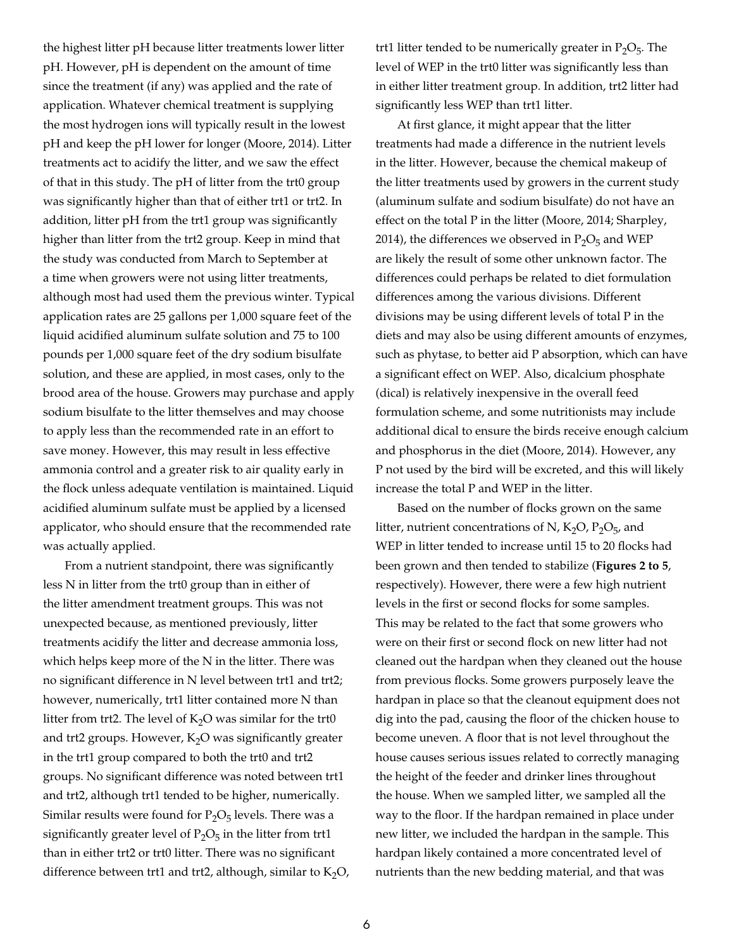the highest litter pH because litter treatments lower litter pH. However, pH is dependent on the amount of time since the treatment (if any) was applied and the rate of application. Whatever chemical treatment is supplying the most hydrogen ions will typically result in the lowest pH and keep the pH lower for longer (Moore, 2014). Litter treatments act to acidify the litter, and we saw the effect of that in this study. The pH of litter from the trt0 group was significantly higher than that of either trt1 or trt2. In addition, litter pH from the trt1 group was significantly higher than litter from the trt2 group. Keep in mind that the study was conducted from March to September at a time when growers were not using litter treatments, although most had used them the previous winter. Typical application rates are 25 gallons per 1,000 square feet of the liquid acidified aluminum sulfate solution and 75 to 100 pounds per 1,000 square feet of the dry sodium bisulfate solution, and these are applied, in most cases, only to the brood area of the house. Growers may purchase and apply sodium bisulfate to the litter themselves and may choose to apply less than the recommended rate in an effort to save money. However, this may result in less effective ammonia control and a greater risk to air quality early in the flock unless adequate ventilation is maintained. Liquid acidified aluminum sulfate must be applied by a licensed applicator, who should ensure that the recommended rate was actually applied.

From a nutrient standpoint, there was significantly less N in litter from the trt0 group than in either of the litter amendment treatment groups. This was not unexpected because, as mentioned previously, litter treatments acidify the litter and decrease ammonia loss, which helps keep more of the N in the litter. There was no significant difference in N level between trt1 and trt2; however, numerically, trt1 litter contained more N than litter from trt2. The level of  $K<sub>2</sub>O$  was similar for the trt0 and trt2 groups. However,  $K<sub>2</sub>O$  was significantly greater in the trt1 group compared to both the trt0 and trt2 groups. No significant difference was noted between trt1 and trt2, although trt1 tended to be higher, numerically. Similar results were found for  $P_2O_5$  levels. There was a significantly greater level of  $P_2O_5$  in the litter from trt1 than in either trt2 or trt0 litter. There was no significant difference between trt1 and trt2, although, similar to  $K_2O$ , trt1 litter tended to be numerically greater in  $P_2O_5$ . The level of WEP in the trt0 litter was significantly less than in either litter treatment group. In addition, trt2 litter had significantly less WEP than trt1 litter.

At first glance, it might appear that the litter treatments had made a difference in the nutrient levels in the litter. However, because the chemical makeup of the litter treatments used by growers in the current study (aluminum sulfate and sodium bisulfate) do not have an effect on the total P in the litter (Moore, 2014; Sharpley, 2014), the differences we observed in  $P_2O_5$  and WEP are likely the result of some other unknown factor. The differences could perhaps be related to diet formulation differences among the various divisions. Different divisions may be using different levels of total P in the diets and may also be using different amounts of enzymes, such as phytase, to better aid P absorption, which can have a significant effect on WEP. Also, dicalcium phosphate (dical) is relatively inexpensive in the overall feed formulation scheme, and some nutritionists may include additional dical to ensure the birds receive enough calcium and phosphorus in the diet (Moore, 2014). However, any P not used by the bird will be excreted, and this will likely increase the total P and WEP in the litter.

Based on the number of flocks grown on the same litter, nutrient concentrations of N,  $K_2O$ ,  $P_2O_5$ , and WEP in litter tended to increase until 15 to 20 flocks had been grown and then tended to stabilize (**Figures 2 to 5**, respectively). However, there were a few high nutrient levels in the first or second flocks for some samples. This may be related to the fact that some growers who were on their first or second flock on new litter had not cleaned out the hardpan when they cleaned out the house from previous flocks. Some growers purposely leave the hardpan in place so that the cleanout equipment does not dig into the pad, causing the floor of the chicken house to become uneven. A floor that is not level throughout the house causes serious issues related to correctly managing the height of the feeder and drinker lines throughout the house. When we sampled litter, we sampled all the way to the floor. If the hardpan remained in place under new litter, we included the hardpan in the sample. This hardpan likely contained a more concentrated level of nutrients than the new bedding material, and that was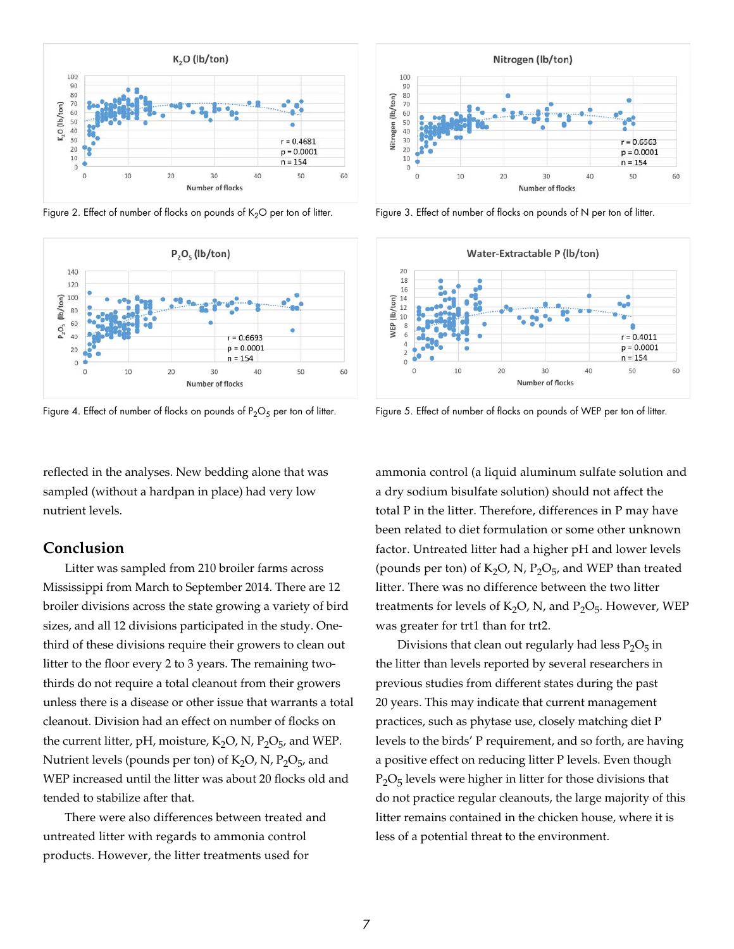

Figure 2. Effect of number of flocks on pounds of K<sub>2</sub>O per ton of litter. Figure 3. Effect of number of flocks on pounds of N per ton of litter.



Figure 4. Effect of number of flocks on pounds of  $P_2O_5$  per ton of litter. Figure 5. Effect of number of flocks on pounds of WEP per ton of litter.

reflected in the analyses. New bedding alone that was sampled (without a hardpan in place) had very low nutrient levels.

#### **Conclusion**

Litter was sampled from 210 broiler farms across Mississippi from March to September 2014. There are 12 broiler divisions across the state growing a variety of bird sizes, and all 12 divisions participated in the study. Onethird of these divisions require their growers to clean out litter to the floor every 2 to 3 years. The remaining twothirds do not require a total cleanout from their growers unless there is a disease or other issue that warrants a total cleanout. Division had an effect on number of flocks on the current litter, pH, moisture,  $K_2O$ , N,  $P_2O_5$ , and WEP. Nutrient levels (pounds per ton) of  $K_2O$ , N,  $P_2O_5$ , and WEP increased until the litter was about 20 flocks old and tended to stabilize after that.

There were also differences between treated and untreated litter with regards to ammonia control products. However, the litter treatments used for





ammonia control (a liquid aluminum sulfate solution and a dry sodium bisulfate solution) should not affect the total P in the litter. Therefore, differences in P may have been related to diet formulation or some other unknown factor. Untreated litter had a higher pH and lower levels (pounds per ton) of  $K_2O$ , N,  $P_2O_{5}$ , and WEP than treated litter. There was no difference between the two litter treatments for levels of  $K_2O$ , N, and  $P_2O_5$ . However, WEP was greater for trt1 than for trt2.

Divisions that clean out regularly had less  $P_2O_5$  in the litter than levels reported by several researchers in previous studies from different states during the past 20 years. This may indicate that current management practices, such as phytase use, closely matching diet P levels to the birds' P requirement, and so forth, are having a positive effect on reducing litter P levels. Even though  $P_2O_5$  levels were higher in litter for those divisions that do not practice regular cleanouts, the large majority of this litter remains contained in the chicken house, where it is less of a potential threat to the environment.